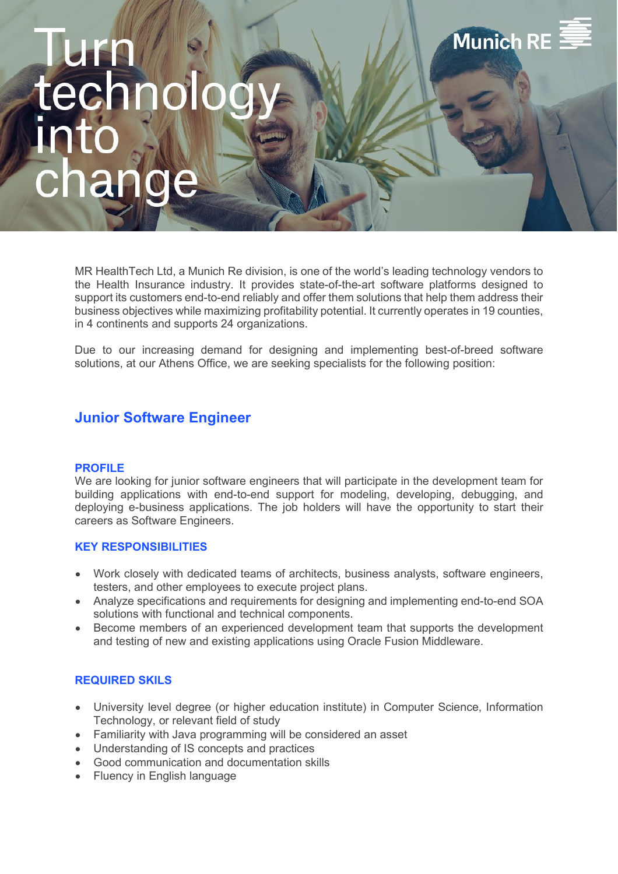# **Munich RE**

MR HealthTech Ltd, a Munich Re division, is one of the world's leading technology vendors to the Health Insurance industry. It provides state-of-the-art software platforms designed to support its customers end-to-end reliably and offer them solutions that help them address their business objectives while maximizing profitability potential. It currently operates in 19 counties, in 4 continents and supports 24 organizations.

Due to our increasing demand for designing and implementing best-of-breed software solutions, at our Athens Office, we are seeking specialists for the following position:

## **Junior Software Engineer**

#### **PROFILE**

We are looking for junior software engineers that will participate in the development team for building applications with end-to-end support for modeling, developing, debugging, and deploying e-business applications. The job holders will have the opportunity to start their careers as Software Engineers.

#### **KEY RESPONSIBILITIES**

- Work closely with dedicated teams of architects, business analysts, software engineers, testers, and other employees to execute project plans.
- Analyze specifications and requirements for designing and implementing end-to-end SOA solutions with functional and technical components.
- Become members of an experienced development team that supports the development and testing of new and existing applications using Oracle Fusion Middleware.

### **REQUIRED SKILS**

- University level degree (or higher education institute) in Computer Science, Information Technology, or relevant field of study
- Familiarity with Java programming will be considered an asset
- Understanding of IS concepts and practices
- Good communication and documentation skills
- Fluency in English language